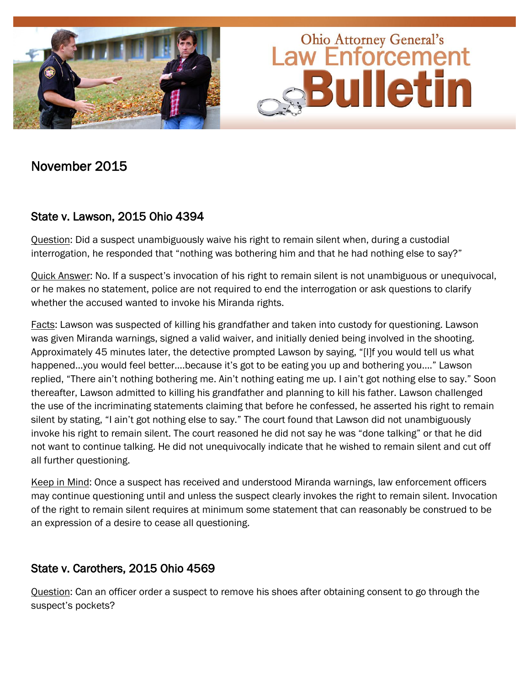

# November 2015

### State v. Lawson, 2015 Ohio 4394

Question: Did a suspect unambiguously waive his right to remain silent when, during a custodial interrogation, he responded that "nothing was bothering him and that he had nothing else to say?"

Quick Answer: No. If a suspect's invocation of his right to remain silent is not unambiguous or unequivocal, or he makes no statement, police are not required to end the interrogation or ask questions to clarify whether the accused wanted to invoke his Miranda rights.

Facts: Lawson was suspected of killing his grandfather and taken into custody for questioning. Lawson was given Miranda warnings, signed a valid waiver, and initially denied being involved in the shooting. Approximately 45 minutes later, the detective prompted Lawson by saying, "[I]f you would tell us what happened…you would feel better….because it's got to be eating you up and bothering you…." Lawson replied, "There ain't nothing bothering me. Ain't nothing eating me up. I ain't got nothing else to say." Soon thereafter, Lawson admitted to killing his grandfather and planning to kill his father. Lawson challenged the use of the incriminating statements claiming that before he confessed, he asserted his right to remain silent by stating, "I ain't got nothing else to say." The court found that Lawson did not unambiguously invoke his right to remain silent. The court reasoned he did not say he was "done talking" or that he did not want to continue talking. He did not unequivocally indicate that he wished to remain silent and cut off all further questioning.

Keep in Mind: Once a suspect has received and understood Miranda warnings, law enforcement officers may continue questioning until and unless the suspect clearly invokes the right to remain silent. Invocation of the right to remain silent requires at minimum some statement that can reasonably be construed to be an expression of a desire to cease all questioning.

#### State v. Carothers, 2015 Ohio 4569

Question: Can an officer order a suspect to remove his shoes after obtaining consent to go through the suspect's pockets?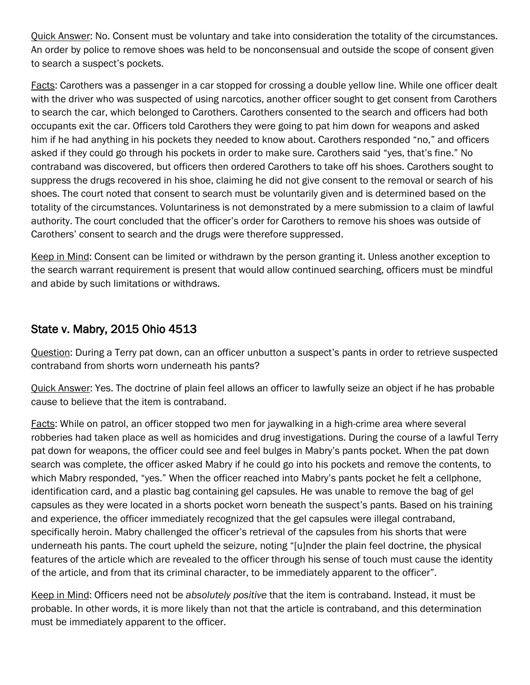Quick Answer: No. Consent must be voluntary and take into consideration the totality of the circumstances. An order by police to remove shoes was held to be nonconsensual and outside the scope of consent given to search a suspect's pockets.

Facts: Carothers was a passenger in a car stopped for crossing a double yellow line. While one officer dealt with the driver who was suspected of using narcotics, another officer sought to get consent from Carothers to search the car, which belonged to Carothers. Carothers consented to the search and officers had both occupants exit the car. Officers told Carothers they were going to pat him down for weapons and asked him if he had anything in his pockets they needed to know about. Carothers responded "no," and officers asked if they could go through his pockets in order to make sure. Carothers said "yes, that's fine." No contraband was discovered, but officers then ordered Carothers to take off his shoes. Carothers sought to suppress the drugs recovered in his shoe, claiming he did not give consent to the removal or search of his shoes. The court noted that consent to search must be voluntarily given and is determined based on the totality of the circumstances. Voluntariness is not demonstrated by a mere submission to a claim of lawful authority. The court concluded that the officer's order for Carothers to remove his shoes was outside of Carothers' consent to search and the drugs were therefore suppressed.

Keep in Mind: Consent can be limited or withdrawn by the person granting it. Unless another exception to the search warrant requirement is present that would allow continued searching, officers must be mindful and abide by such limitations or withdraws.

### State v. Mabry, 2015 Ohio 4513

Question: During a Terry pat down, can an officer unbutton a suspect's pants in order to retrieve suspected contraband from shorts worn underneath his pants?

Quick Answer: Yes. The doctrine of plain feel allows an officer to lawfully seize an object if he has probable cause to believe that the item is contraband.

Facts: While on patrol, an officer stopped two men for jaywalking in a high-crime area where several robberies had taken place as well as homicides and drug investigations. During the course of a lawful Terry pat down for weapons, the officer could see and feel bulges in Mabry's pants pocket. When the pat down search was complete, the officer asked Mabry if he could go into his pockets and remove the contents, to which Mabry responded, "yes." When the officer reached into Mabry's pants pocket he felt a cellphone, identification card, and a plastic bag containing gel capsules. He was unable to remove the bag of gel capsules as they were located in a shorts pocket worn beneath the suspect's pants. Based on his training and experience, the officer immediately recognized that the gel capsules were illegal contraband, specifically heroin. Mabry challenged the officer's retrieval of the capsules from his shorts that were underneath his pants. The court upheld the seizure, noting "[u]nder the plain feel doctrine, the physical features of the article which are revealed to the officer through his sense of touch must cause the identity of the article, and from that its criminal character, to be immediately apparent to the officer".

Keep in Mind: Officers need not be *absolutely positive* that the item is contraband. Instead, it must be probable. In other words, it is more likely than not that the article is contraband, and this determination must be immediately apparent to the officer.